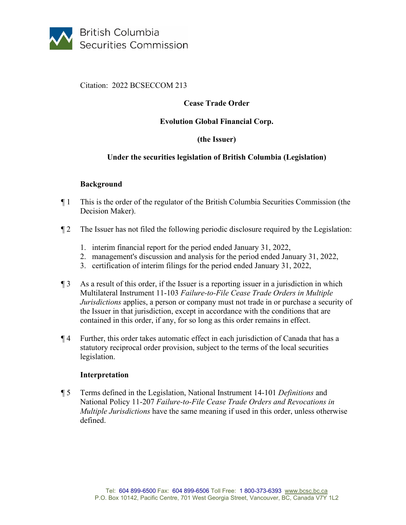

#### Citation: 2022 BCSECCOM 213

# **Cease Trade Order**

#### **Evolution Global Financial Corp.**

## **(the Issuer)**

## **Under the securities legislation of British Columbia (Legislation)**

#### **Background**

- ¶ 1 This is the order of the regulator of the British Columbia Securities Commission (the Decision Maker).
- ¶ 2 The Issuer has not filed the following periodic disclosure required by the Legislation:
	- 1. interim financial report for the period ended January 31, 2022,
	- 2. management's discussion and analysis for the period ended January 31, 2022,
	- 3. certification of interim filings for the period ended January 31, 2022,
- ¶ 3 As a result of this order, if the Issuer is a reporting issuer in a jurisdiction in which Multilateral Instrument 11-103 *Failure-to-File Cease Trade Orders in Multiple Jurisdictions* applies, a person or company must not trade in or purchase a security of the Issuer in that jurisdiction, except in accordance with the conditions that are contained in this order, if any, for so long as this order remains in effect.
- ¶ 4 Further, this order takes automatic effect in each jurisdiction of Canada that has a statutory reciprocal order provision, subject to the terms of the local securities legislation.

#### **Interpretation**

¶ 5 Terms defined in the Legislation, National Instrument 14-101 *Definitions* and National Policy 11-207 *Failure-to-File Cease Trade Orders and Revocations in Multiple Jurisdictions* have the same meaning if used in this order, unless otherwise defined.